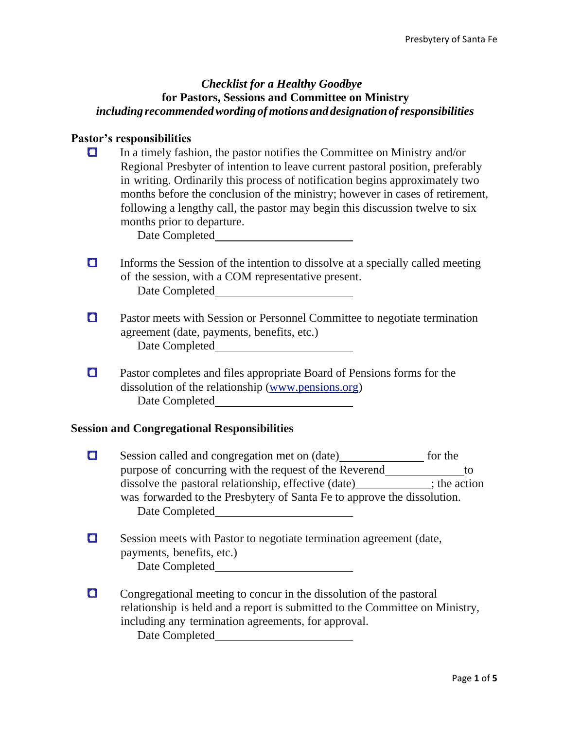#### *Checklist for a Healthy Goodbye* **for Pastors, Sessions and Committee on Ministry** *including recommendedwording ofmotions and designationofresponsibilities*

#### **Pastor's responsibilities**

 In a timely fashion, the pastor notifies the Committee on Ministry and/or Regional Presbyter of intention to leave current pastoral position, preferably in writing. Ordinarily this process of notification begins approximately two months before the conclusion of the ministry; however in cases of retirement, following a lengthy call, the pastor may begin this discussion twelve to six months prior to departure.

Date Completed

- $\Box$  Informs the Session of the intention to dissolve at a specially called meeting of the session, with a COM representative present. Date Completed
- **C** Pastor meets with Session or Personnel Committee to negotiate termination agreement (date, payments, benefits, etc.) Date Completed
- **Q** Pastor completes and files appropriate Board of Pensions forms for the dissolution of the relationship (www.pensions.org) Date Completed

### **Session and Congregational Responsibilities**

- Session called and congregation met on (date) for the purpose of concurring with the request of the Reverend to dissolve the pastoral relationship, effective (date) ; the action was forwarded to the Presbytery of Santa Fe to approve the dissolution. Date Completed
- Session meets with Pastor to negotiate termination agreement (date, payments, benefits, etc.) Date Completed
- **Congregational meeting to concur in the dissolution of the pastoral** relationship is held and a report is submitted to the Committee on Ministry, including any termination agreements, for approval. Date Completed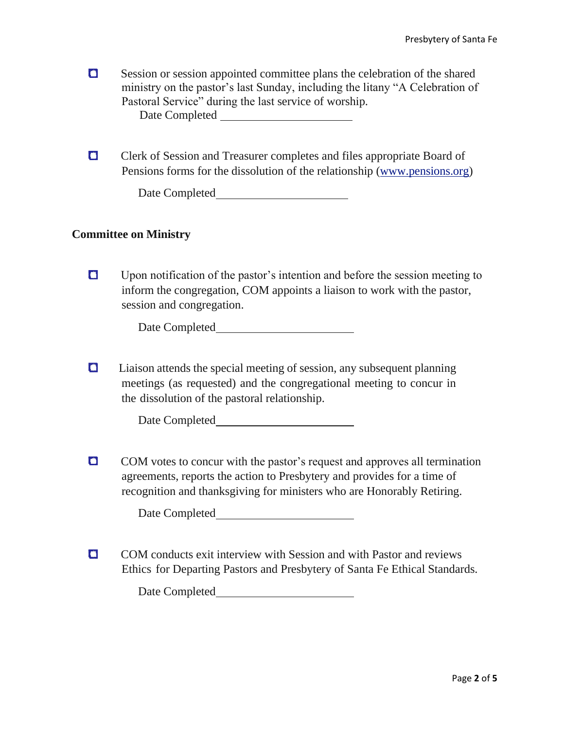- **O** Session or session appointed committee plans the celebration of the shared ministry on the pastor's last Sunday, including the litany "A Celebration of Pastoral Service" during the last service of worship. Date Completed
- Clerk of Session and Treasurer completes and files appropriate Board of Pensions forms for the dissolution of the relationship (www.pensions.org)

Date Completed

#### **Committee on Ministry**

Upon notification of the pastor's intention and before the session meeting to inform the congregation, COM appoints a liaison to work with the pastor, session and congregation.

Date Completed

**Q** Liaison attends the special meeting of session, any subsequent planning meetings (as requested) and the congregational meeting to concur in the dissolution of the pastoral relationship.

Date Completed

**COM** votes to concur with the pastor's request and approves all termination agreements, reports the action to Presbytery and provides for a time of recognition and thanksgiving for ministers who are Honorably Retiring.

Date Completed

**COM** conducts exit interview with Session and with Pastor and reviews Ethics for Departing Pastors and Presbytery of Santa Fe Ethical Standards.

Date Completed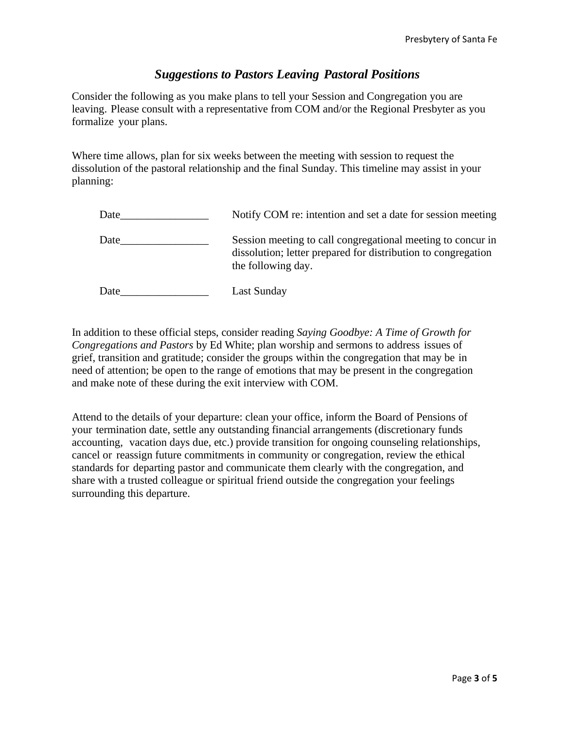## *Suggestions to Pastors Leaving Pastoral Positions*

Consider the following as you make plans to tell your Session and Congregation you are leaving. Please consult with a representative from COM and/or the Regional Presbyter as you formalize your plans.

Where time allows, plan for six weeks between the meeting with session to request the dissolution of the pastoral relationship and the final Sunday. This timeline may assist in your planning:

| Date | Notify COM re: intention and set a date for session meeting                                                                                        |
|------|----------------------------------------------------------------------------------------------------------------------------------------------------|
| Date | Session meeting to call congregational meeting to concur in<br>dissolution; letter prepared for distribution to congregation<br>the following day. |
| Date | Last Sunday                                                                                                                                        |

In addition to these official steps, consider reading *Saying Goodbye: A Time of Growth for Congregations and Pastors* by Ed White; plan worship and sermons to address issues of grief, transition and gratitude; consider the groups within the congregation that may be in need of attention; be open to the range of emotions that may be present in the congregation and make note of these during the exit interview with COM.

Attend to the details of your departure: clean your office, inform the Board of Pensions of your termination date, settle any outstanding financial arrangements (discretionary funds accounting, vacation days due, etc.) provide transition for ongoing counseling relationships, cancel or reassign future commitments in community or congregation, review the ethical standards for departing pastor and communicate them clearly with the congregation, and share with a trusted colleague or spiritual friend outside the congregation your feelings surrounding this departure.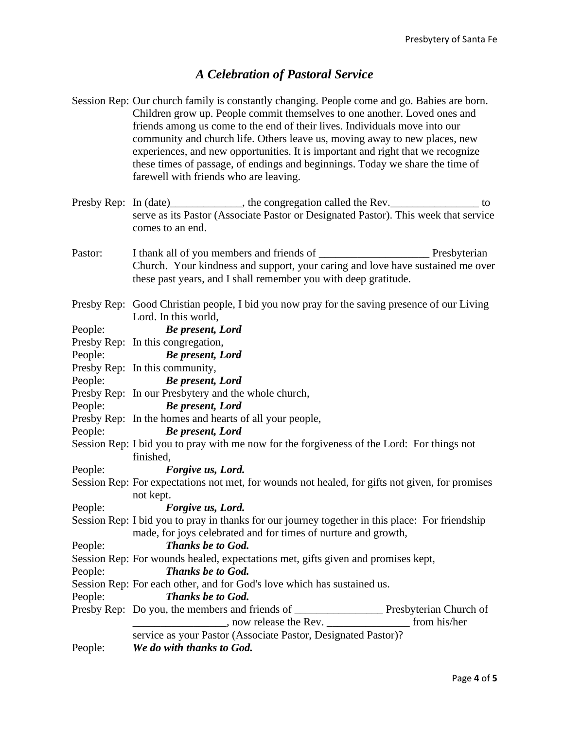# *A Celebration of Pastoral Service*

| People: | We do with thanks to God.                                                                                                                                                                                                                                                                                                                                              |
|---------|------------------------------------------------------------------------------------------------------------------------------------------------------------------------------------------------------------------------------------------------------------------------------------------------------------------------------------------------------------------------|
|         | service as your Pastor (Associate Pastor, Designated Pastor)?                                                                                                                                                                                                                                                                                                          |
|         |                                                                                                                                                                                                                                                                                                                                                                        |
|         |                                                                                                                                                                                                                                                                                                                                                                        |
| People: | <b>Thanks be to God.</b>                                                                                                                                                                                                                                                                                                                                               |
|         | Session Rep: For each other, and for God's love which has sustained us.                                                                                                                                                                                                                                                                                                |
| People: | <b>Thanks be to God.</b>                                                                                                                                                                                                                                                                                                                                               |
|         | Session Rep: For wounds healed, expectations met, gifts given and promises kept,                                                                                                                                                                                                                                                                                       |
| People: | Thanks be to God.                                                                                                                                                                                                                                                                                                                                                      |
|         | made, for joys celebrated and for times of nurture and growth,                                                                                                                                                                                                                                                                                                         |
|         | Session Rep: I bid you to pray in thanks for our journey together in this place: For friendship                                                                                                                                                                                                                                                                        |
| People: | Forgive us, Lord.                                                                                                                                                                                                                                                                                                                                                      |
|         | not kept.                                                                                                                                                                                                                                                                                                                                                              |
|         | Session Rep: For expectations not met, for wounds not healed, for gifts not given, for promises                                                                                                                                                                                                                                                                        |
| People: | Forgive us, Lord.                                                                                                                                                                                                                                                                                                                                                      |
|         | finished,                                                                                                                                                                                                                                                                                                                                                              |
|         | Session Rep: I bid you to pray with me now for the forgiveness of the Lord: For things not                                                                                                                                                                                                                                                                             |
| People: | <b>Be present, Lord</b>                                                                                                                                                                                                                                                                                                                                                |
|         | Presby Rep: In the homes and hearts of all your people,                                                                                                                                                                                                                                                                                                                |
| People: | <b>Be present, Lord</b>                                                                                                                                                                                                                                                                                                                                                |
|         | Presby Rep: In our Presbytery and the whole church,                                                                                                                                                                                                                                                                                                                    |
| People: | <b>Be present, Lord</b>                                                                                                                                                                                                                                                                                                                                                |
|         | Presby Rep: In this community,                                                                                                                                                                                                                                                                                                                                         |
| People: | <b>Be present, Lord</b>                                                                                                                                                                                                                                                                                                                                                |
|         | Presby Rep: In this congregation,                                                                                                                                                                                                                                                                                                                                      |
| People: | Lord. In this world,<br><b>Be present, Lord</b>                                                                                                                                                                                                                                                                                                                        |
|         | Presby Rep: Good Christian people, I bid you now pray for the saving presence of our Living                                                                                                                                                                                                                                                                            |
|         | these past years, and I shall remember you with deep gratitude.                                                                                                                                                                                                                                                                                                        |
|         | Church. Your kindness and support, your caring and love have sustained me over                                                                                                                                                                                                                                                                                         |
| Pastor: |                                                                                                                                                                                                                                                                                                                                                                        |
|         | comes to an end.                                                                                                                                                                                                                                                                                                                                                       |
|         | Presby Rep: In (date)_____________, the congregation called the Rev.________________ to<br>serve as its Pastor (Associate Pastor or Designated Pastor). This week that service                                                                                                                                                                                         |
|         |                                                                                                                                                                                                                                                                                                                                                                        |
|         | friends among us come to the end of their lives. Individuals move into our<br>community and church life. Others leave us, moving away to new places, new<br>experiences, and new opportunities. It is important and right that we recognize<br>these times of passage, of endings and beginnings. Today we share the time of<br>farewell with friends who are leaving. |
|         | Session Rep: Our church family is constantly changing. People come and go. Babies are born.<br>Children grow up. People commit themselves to one another. Loved ones and                                                                                                                                                                                               |
|         |                                                                                                                                                                                                                                                                                                                                                                        |